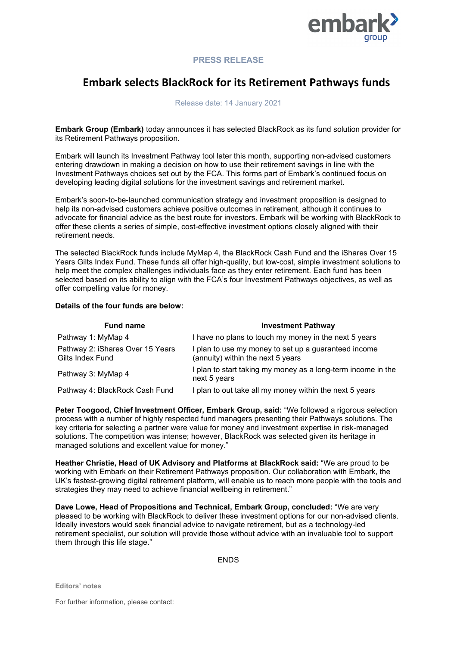

## **PRESS RELEASE**

# **Embark selects BlackRock for its Retirement Pathways funds**

### Release date: 14 January 2021

**Embark Group (Embark)** today announces it has selected BlackRock as its fund solution provider for its Retirement Pathways proposition.

Embark will launch its Investment Pathway tool later this month, supporting non-advised customers entering drawdown in making a decision on how to use their retirement savings in line with the Investment Pathways choices set out by the FCA. This forms part of Embark's continued focus on developing leading digital solutions for the investment savings and retirement market.

Embark's soon-to-be-launched communication strategy and investment proposition is designed to help its non-advised customers achieve positive outcomes in retirement, although it continues to advocate for financial advice as the best route for investors. Embark will be working with BlackRock to offer these clients a series of simple, cost-effective investment options closely aligned with their retirement needs.

The selected BlackRock funds include MyMap 4, the BlackRock Cash Fund and the iShares Over 15 Years Gilts Index Fund. These funds all offer high-quality, but low-cost, simple investment solutions to help meet the complex challenges individuals face as they enter retirement. Each fund has been selected based on its ability to align with the FCA's four Investment Pathways objectives, as well as offer compelling value for money.

#### **Details of the four funds are below:**

| <b>Fund name</b>                                     | <b>Investment Pathway</b>                                                                 |
|------------------------------------------------------|-------------------------------------------------------------------------------------------|
| Pathway 1: MyMap 4                                   | I have no plans to touch my money in the next 5 years                                     |
| Pathway 2: iShares Over 15 Years<br>Gilts Index Fund | I plan to use my money to set up a guaranteed income<br>(annuity) within the next 5 years |
| Pathway 3: MyMap 4                                   | I plan to start taking my money as a long-term income in the<br>next 5 years              |
| Pathway 4: BlackRock Cash Fund                       | I plan to out take all my money within the next 5 years                                   |

**Peter Toogood, Chief Investment Officer, Embark Group, said:** "We followed a rigorous selection process with a number of highly respected fund managers presenting their Pathways solutions. The key criteria for selecting a partner were value for money and investment expertise in risk-managed solutions. The competition was intense; however, BlackRock was selected given its heritage in managed solutions and excellent value for money."

**Heather Christie, Head of UK Advisory and Platforms at BlackRock said:** "We are proud to be working with Embark on their Retirement Pathways proposition. Our collaboration with Embark, the UK's fastest-growing digital retirement platform, will enable us to reach more people with the tools and strategies they may need to achieve financial wellbeing in retirement."

**Dave Lowe, Head of Propositions and Technical, Embark Group, concluded:** "We are very pleased to be working with BlackRock to deliver these investment options for our non-advised clients. Ideally investors would seek financial advice to navigate retirement, but as a technology-led retirement specialist, our solution will provide those without advice with an invaluable tool to support them through this life stage."

**FNDS** 

**Editors' notes**

For further information, please contact: